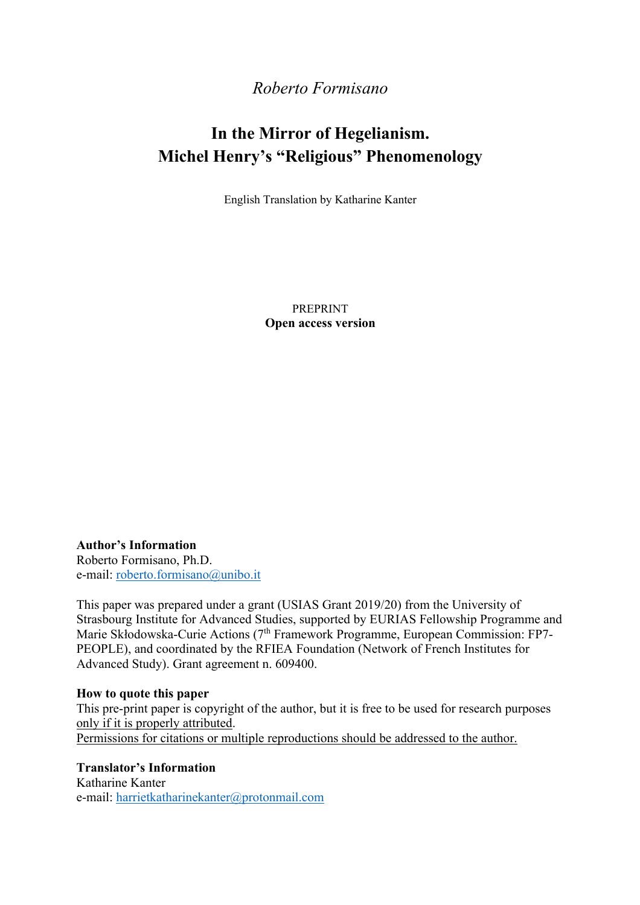# *Roberto Formisano*

# **In the Mirror of Hegelianism. Michel Henry's "Religious" Phenomenology**

English Translation by Katharine Kanter

PREPRINT **Open access version**

**Author's Information** Roberto Formisano, Ph.D. e-mail: roberto.formisano@unibo.it

This paper was prepared under a grant (USIAS Grant 2019/20) from the University of Strasbourg Institute for Advanced Studies, supported by EURIAS Fellowship Programme and Marie Skłodowska-Curie Actions (7<sup>th</sup> Framework Programme, European Commission: FP7-PEOPLE), and coordinated by the RFIEA Foundation (Network of French Institutes for Advanced Study). Grant agreement n. 609400.

#### **How to quote this paper**

This pre-print paper is copyright of the author, but it is free to be used for research purposes only if it is properly attributed. Permissions for citations or multiple reproductions should be addressed to the author.

**Translator's Information**

Katharine Kanter e-mail: harrietkatharinekanter@protonmail.com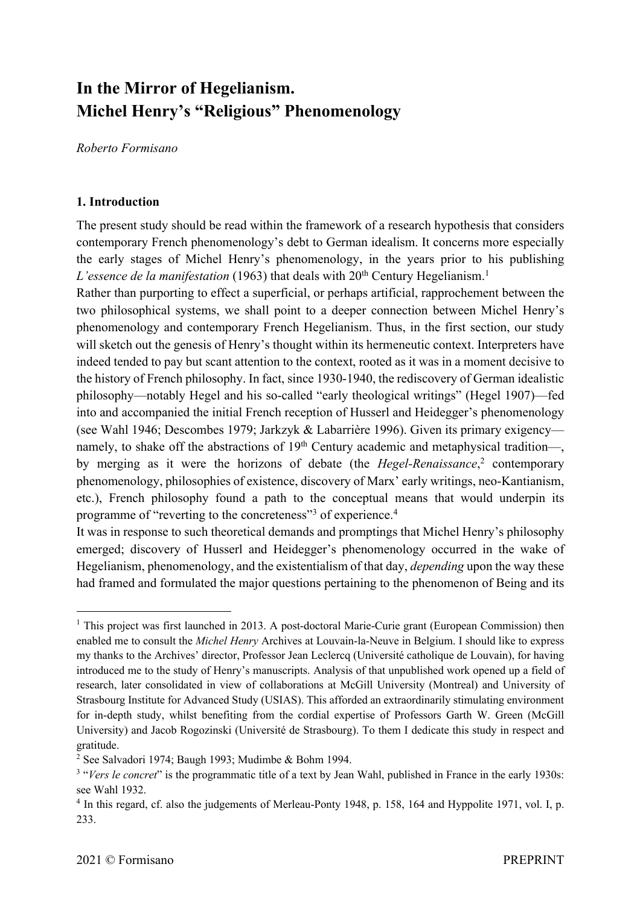# **In the Mirror of Hegelianism. Michel Henry's "Religious" Phenomenology**

*Roberto Formisano*

#### **1. Introduction**

The present study should be read within the framework of a research hypothesis that considers contemporary French phenomenology's debt to German idealism. It concerns more especially the early stages of Michel Henry's phenomenology, in the years prior to his publishing *L'essence de la manifestation* (1963) that deals with 20<sup>th</sup> Century Hegelianism.<sup>1</sup>

Rather than purporting to effect a superficial, or perhaps artificial, rapprochement between the two philosophical systems, we shall point to a deeper connection between Michel Henry's phenomenology and contemporary French Hegelianism. Thus, in the first section, our study will sketch out the genesis of Henry's thought within its hermeneutic context. Interpreters have indeed tended to pay but scant attention to the context, rooted as it was in a moment decisive to the history of French philosophy. In fact, since 1930-1940, the rediscovery of German idealistic philosophy—notably Hegel and his so-called "early theological writings" (Hegel 1907)—fed into and accompanied the initial French reception of Husserl and Heidegger's phenomenology (see Wahl 1946; Descombes 1979; Jarkzyk & Labarrière 1996). Given its primary exigency namely, to shake off the abstractions of  $19<sup>th</sup>$  Century academic and metaphysical tradition—, by merging as it were the horizons of debate (the *Hegel-Renaissance*, <sup>2</sup> contemporary phenomenology, philosophies of existence, discovery of Marx' early writings, neo-Kantianism, etc.), French philosophy found a path to the conceptual means that would underpin its programme of "reverting to the concreteness"3 of experience.4

It was in response to such theoretical demands and promptings that Michel Henry's philosophy emerged; discovery of Husserl and Heidegger's phenomenology occurred in the wake of Hegelianism, phenomenology, and the existentialism of that day, *depending* upon the way these had framed and formulated the major questions pertaining to the phenomenon of Being and its

<sup>&</sup>lt;sup>1</sup> This project was first launched in 2013. A post-doctoral Marie-Curie grant (European Commission) then enabled me to consult the *Michel Henry* Archives at Louvain-la-Neuve in Belgium. I should like to express my thanks to the Archives' director, Professor Jean Leclercq (Université catholique de Louvain), for having introduced me to the study of Henry's manuscripts. Analysis of that unpublished work opened up a field of research, later consolidated in view of collaborations at McGill University (Montreal) and University of Strasbourg Institute for Advanced Study (USIAS). This afforded an extraordinarily stimulating environment for in-depth study, whilst benefiting from the cordial expertise of Professors Garth W. Green (McGill University) and Jacob Rogozinski (Université de Strasbourg). To them I dedicate this study in respect and gratitude.

<sup>2</sup> See Salvadori 1974; Baugh 1993; Mudimbe & Bohm 1994.

<sup>&</sup>lt;sup>3</sup> "*Vers le concret*" is the programmatic title of a text by Jean Wahl, published in France in the early 1930s: see Wahl 1932.

<sup>&</sup>lt;sup>4</sup> In this regard, cf. also the judgements of Merleau-Ponty 1948, p. 158, 164 and Hyppolite 1971, vol. I, p. 233.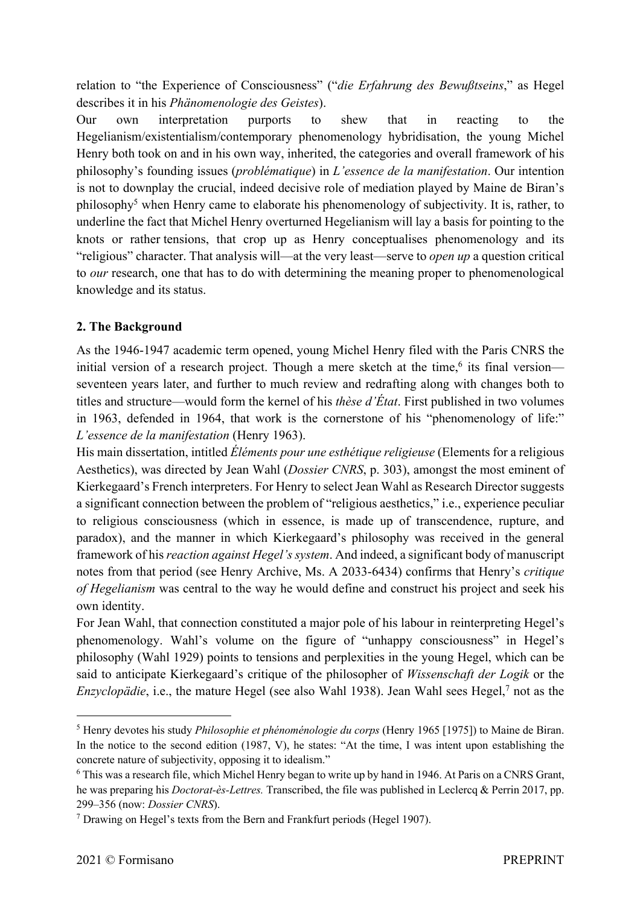relation to "the Experience of Consciousness" ("*die Erfahrung des Bewußtseins*," as Hegel describes it in his *Phänomenologie des Geistes*).

Our own interpretation purports to shew that in reacting to the Hegelianism/existentialism/contemporary phenomenology hybridisation, the young Michel Henry both took on and in his own way, inherited, the categories and overall framework of his philosophy's founding issues (*problématique*) in *L'essence de la manifestation*. Our intention is not to downplay the crucial, indeed decisive role of mediation played by Maine de Biran's philosophy<sup>5</sup> when Henry came to elaborate his phenomenology of subjectivity. It is, rather, to underline the fact that Michel Henry overturned Hegelianism will lay a basis for pointing to the knots or rather tensions, that crop up as Henry conceptualises phenomenology and its "religious" character. That analysis will—at the very least—serve to *open up* a question critical to *our* research, one that has to do with determining the meaning proper to phenomenological knowledge and its status.

### **2. The Background**

As the 1946-1947 academic term opened, young Michel Henry filed with the Paris CNRS the initial version of a research project. Though a mere sketch at the time,<sup>6</sup> its final version seventeen years later, and further to much review and redrafting along with changes both to titles and structure—would form the kernel of his *thèse d'État*. First published in two volumes in 1963, defended in 1964, that work is the cornerstone of his "phenomenology of life:" *L'essence de la manifestation* (Henry 1963).

His main dissertation, intitled *Éléments pour une esthétique religieuse* (Elements for a religious Aesthetics), was directed by Jean Wahl (*Dossier CNRS*, p. 303), amongst the most eminent of Kierkegaard's French interpreters. For Henry to select Jean Wahl as Research Director suggests a significant connection between the problem of "religious aesthetics," i.e., experience peculiar to religious consciousness (which in essence, is made up of transcendence, rupture, and paradox), and the manner in which Kierkegaard's philosophy was received in the general framework of his *reaction against Hegel's system*. And indeed, a significant body of manuscript notes from that period (see Henry Archive, Ms. A 2033-6434) confirms that Henry's *critique of Hegelianism* was central to the way he would define and construct his project and seek his own identity.

For Jean Wahl, that connection constituted a major pole of his labour in reinterpreting Hegel's phenomenology. Wahl's volume on the figure of "unhappy consciousness" in Hegel's philosophy (Wahl 1929) points to tensions and perplexities in the young Hegel, which can be said to anticipate Kierkegaard's critique of the philosopher of *Wissenschaft der Logik* or the *Enzyclopädie*, i.e., the mature Hegel (see also Wahl 1938). Jean Wahl sees Hegel,<sup>7</sup> not as the

<sup>5</sup> Henry devotes his study *Philosophie et phénoménologie du corps* (Henry 1965 [1975]) to Maine de Biran. In the notice to the second edition (1987, V), he states: "At the time, I was intent upon establishing the concrete nature of subjectivity, opposing it to idealism."

<sup>6</sup> This was a research file, which Michel Henry began to write up by hand in 1946. At Paris on a CNRS Grant, he was preparing his *Doctorat-ès-Lettres.* Transcribed, the file was published in Leclercq & Perrin 2017, pp. 299–356 (now: *Dossier CNRS*).

<sup>7</sup> Drawing on Hegel's texts from the Bern and Frankfurt periods (Hegel 1907).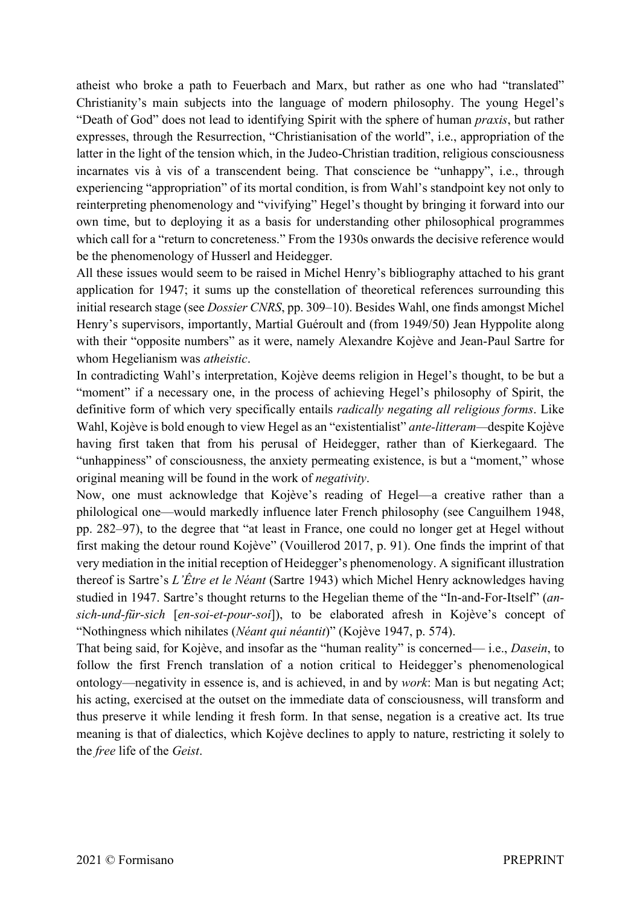atheist who broke a path to Feuerbach and Marx, but rather as one who had "translated" Christianity's main subjects into the language of modern philosophy. The young Hegel's "Death of God" does not lead to identifying Spirit with the sphere of human *praxis*, but rather expresses, through the Resurrection, "Christianisation of the world", i.e., appropriation of the latter in the light of the tension which, in the Judeo-Christian tradition, religious consciousness incarnates vis à vis of a transcendent being. That conscience be "unhappy", i.e., through experiencing "appropriation" of its mortal condition, is from Wahl's standpoint key not only to reinterpreting phenomenology and "vivifying" Hegel's thought by bringing it forward into our own time, but to deploying it as a basis for understanding other philosophical programmes which call for a "return to concreteness." From the 1930s onwards the decisive reference would be the phenomenology of Husserl and Heidegger.

All these issues would seem to be raised in Michel Henry's bibliography attached to his grant application for 1947; it sums up the constellation of theoretical references surrounding this initial research stage (see *Dossier CNRS*, pp. 309–10). Besides Wahl, one finds amongst Michel Henry's supervisors, importantly, Martial Guéroult and (from 1949/50) Jean Hyppolite along with their "opposite numbers" as it were, namely Alexandre Kojève and Jean-Paul Sartre for whom Hegelianism was *atheistic*.

In contradicting Wahl's interpretation, Kojève deems religion in Hegel's thought, to be but a "moment" if a necessary one, in the process of achieving Hegel's philosophy of Spirit, the definitive form of which very specifically entails *radically negating all religious forms*. Like Wahl, Kojève is bold enough to view Hegel as an "existentialist" *ante-litteram—*despite Kojève having first taken that from his perusal of Heidegger, rather than of Kierkegaard. The "unhappiness" of consciousness, the anxiety permeating existence, is but a "moment," whose original meaning will be found in the work of *negativity*.

Now, one must acknowledge that Kojève's reading of Hegel—a creative rather than a philological one—would markedly influence later French philosophy (see Canguilhem 1948, pp. 282–97), to the degree that "at least in France, one could no longer get at Hegel without first making the detour round Kojève" (Vouillerod 2017, p. 91). One finds the imprint of that very mediation in the initial reception of Heidegger's phenomenology. A significant illustration thereof is Sartre's *L'Être et le Néant* (Sartre 1943) which Michel Henry acknowledges having studied in 1947. Sartre's thought returns to the Hegelian theme of the "In-and-For-Itself" (*ansich-und-für-sich* [*en-soi-et-pour-soi*]), to be elaborated afresh in Kojève's concept of "Nothingness which nihilates (*Néant qui néantit*)" (Kojève 1947, p. 574).

That being said, for Kojève, and insofar as the "human reality" is concerned— i.e., *Dasein*, to follow the first French translation of a notion critical to Heidegger's phenomenological ontology—negativity in essence is, and is achieved, in and by *work*: Man is but negating Act; his acting, exercised at the outset on the immediate data of consciousness, will transform and thus preserve it while lending it fresh form. In that sense, negation is a creative act. Its true meaning is that of dialectics, which Kojève declines to apply to nature, restricting it solely to the *free* life of the *Geist*.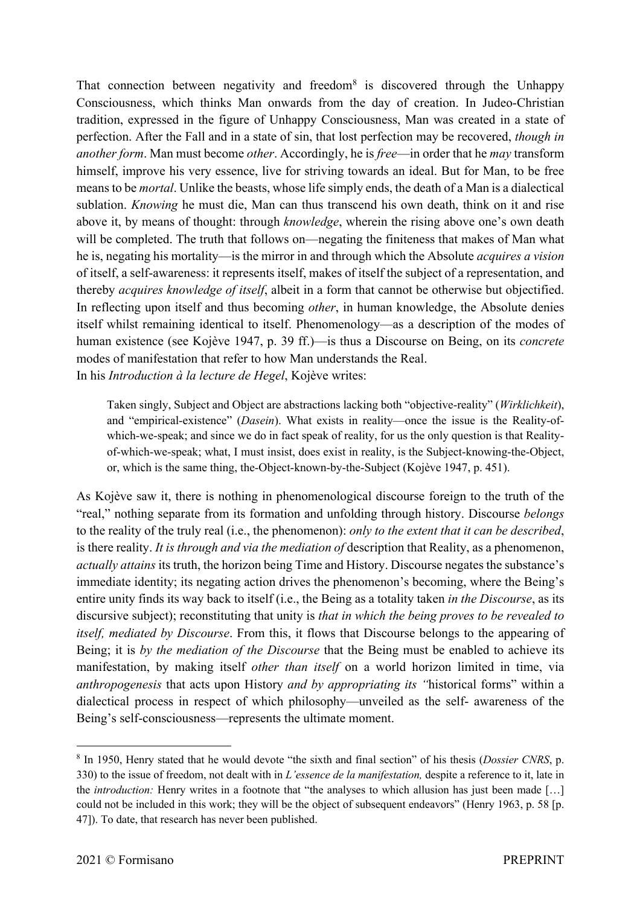That connection between negativity and freedom<sup>8</sup> is discovered through the Unhappy Consciousness, which thinks Man onwards from the day of creation. In Judeo-Christian tradition, expressed in the figure of Unhappy Consciousness, Man was created in a state of perfection. After the Fall and in a state of sin, that lost perfection may be recovered, *though in another form*. Man must become *other*. Accordingly, he is *free*—in order that he *may* transform himself, improve his very essence, live for striving towards an ideal. But for Man, to be free means to be *mortal*. Unlike the beasts, whose life simply ends, the death of a Man is a dialectical sublation. *Knowing* he must die, Man can thus transcend his own death, think on it and rise above it, by means of thought: through *knowledge*, wherein the rising above one's own death will be completed. The truth that follows on—negating the finiteness that makes of Man what he is, negating his mortality—is the mirror in and through which the Absolute *acquires a vision* of itself, a self-awareness: it represents itself, makes of itself the subject of a representation, and thereby *acquires knowledge of itself*, albeit in a form that cannot be otherwise but objectified. In reflecting upon itself and thus becoming *other*, in human knowledge, the Absolute denies itself whilst remaining identical to itself. Phenomenology—as a description of the modes of human existence (see Kojève 1947, p. 39 ff.)—is thus a Discourse on Being, on its *concrete* modes of manifestation that refer to how Man understands the Real. In his *Introduction à la lecture de Hegel*, Kojève writes:

Taken singly, Subject and Object are abstractions lacking both "objective-reality" (*Wirklichkeit*), and "empirical-existence" (*Dasein*). What exists in reality—once the issue is the Reality-ofwhich-we-speak; and since we do in fact speak of reality, for us the only question is that Realityof-which-we-speak; what, I must insist, does exist in reality, is the Subject-knowing-the-Object, or, which is the same thing, the-Object-known-by-the-Subject (Kojève 1947, p. 451).

As Kojève saw it, there is nothing in phenomenological discourse foreign to the truth of the "real," nothing separate from its formation and unfolding through history. Discourse *belongs*  to the reality of the truly real (i.e., the phenomenon): *only to the extent that it can be described*, is there reality. *It is through and via the mediation of* description that Reality, as a phenomenon, *actually attains* its truth, the horizon being Time and History. Discourse negates the substance's immediate identity; its negating action drives the phenomenon's becoming, where the Being's entire unity finds its way back to itself (i.e., the Being as a totality taken *in the Discourse*, as its discursive subject); reconstituting that unity is *that in which the being proves to be revealed to itself, mediated by Discourse*. From this, it flows that Discourse belongs to the appearing of Being; it is *by the mediation of the Discourse* that the Being must be enabled to achieve its manifestation, by making itself *other than itself* on a world horizon limited in time, via *anthropogenesis* that acts upon History *and by appropriating its "*historical forms" within a dialectical process in respect of which philosophy—unveiled as the self- awareness of the Being's self-consciousness—represents the ultimate moment.

<sup>8</sup> In 1950, Henry stated that he would devote "the sixth and final section" of his thesis (*Dossier CNRS*, p. 330) to the issue of freedom, not dealt with in *L'essence de la manifestation,* despite a reference to it, late in the *introduction:* Henry writes in a footnote that "the analyses to which allusion has just been made […] could not be included in this work; they will be the object of subsequent endeavors" (Henry 1963, p. 58 [p. 47]). To date, that research has never been published.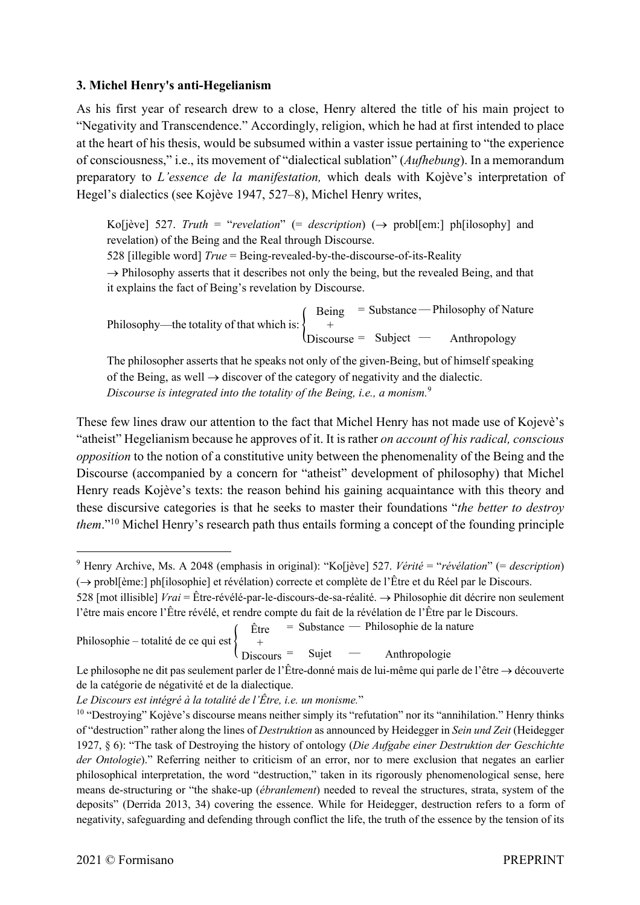#### **3. Michel Henry's anti-Hegelianism**

As his first year of research drew to a close, Henry altered the title of his main project to "Negativity and Transcendence." Accordingly, religion, which he had at first intended to place at the heart of his thesis, would be subsumed within a vaster issue pertaining to "the experience of consciousness," i.e., its movement of "dialectical sublation" (*Aufhebung*). In a memorandum preparatory to *L'essence de la manifestation,* which deals with Kojève's interpretation of Hegel's dialectics (see Kojève 1947, 527–8), Michel Henry writes,

Ko[jève] 527. *Truth* = "*revelation*" (= *description*) ( $\rightarrow$  probl[em:] ph[ilosophy] and revelation) of the Being and the Real through Discourse.

528 [illegible word] *True* = Being-revealed-by-the-discourse-of-its-Reality

 $\rightarrow$  Philosophy asserts that it describes not only the being, but the revealed Being, and that it explains the fact of Being's revelation by Discourse.

Philosophy—the totality of that which is:  $\{$ Being + Discourse = = Substance Subject — — Philosophy of Nature Anthropology

The philosopher asserts that he speaks not only of the given-Being, but of himself speaking of the Being, as well  $\rightarrow$  discover of the category of negativity and the dialectic. *Discourse is integrated into the totality of the Being, i.e., a monism.* 9

These few lines draw our attention to the fact that Michel Henry has not made use of Kojevè's "atheist" Hegelianism because he approves of it. It is rather *on account of his radical, conscious opposition* to the notion of a constitutive unity between the phenomenality of the Being and the Discourse (accompanied by a concern for "atheist" development of philosophy) that Michel Henry reads Kojève's texts: the reason behind his gaining acquaintance with this theory and these discursive categories is that he seeks to master their foundations "*the better to destroy them*."10 Michel Henry's research path thus entails forming a concept of the founding principle

Philosophie – totalité de ce qui est  $\{$ Être + = Substance — — Philosophie de la nature

<sup>9</sup> Henry Archive, Ms. A 2048 (emphasis in original): "Ko[jève] 527. *Vérité* = "*révélation*" (= *description*)  $(\rightarrow$  probl[ème:] ph[ilosophie] et révélation) correcte et complète de l'Être et du Réel par le Discours.

<sup>528 [</sup>mot illisible] *Vrai* = Être-révélé-par-le-discours-de-sa-réalité.  $\rightarrow$  Philosophie dit décrire non seulement l'être mais encore l'Être révélé, et rendre compte du fait de la révélation de l'Être par le Discours.

Discours = Sujet Anthropologie Le philosophe ne dit pas seulement parler de l'Être-donné mais de lui-même qui parle de l'être  $\rightarrow$  découverte de la catégorie de négativité et de la dialectique.

*Le Discours est intégré à la totalité de l'Être, i.e. un monisme.*"

<sup>&</sup>lt;sup>10</sup> "Destroying" Kojève's discourse means neither simply its "refutation" nor its "annihilation." Henry thinks of "destruction" rather along the lines of *Destruktion* as announced by Heidegger in *Sein und Zeit* (Heidegger 1927, § 6): "The task of Destroying the history of ontology (*Die Aufgabe einer Destruktion der Geschichte der Ontologie*)." Referring neither to criticism of an error, nor to mere exclusion that negates an earlier philosophical interpretation, the word "destruction," taken in its rigorously phenomenological sense, here means de-structuring or "the shake-up (*ébranlement*) needed to reveal the structures, strata, system of the deposits" (Derrida 2013, 34) covering the essence. While for Heidegger, destruction refers to a form of negativity, safeguarding and defending through conflict the life, the truth of the essence by the tension of its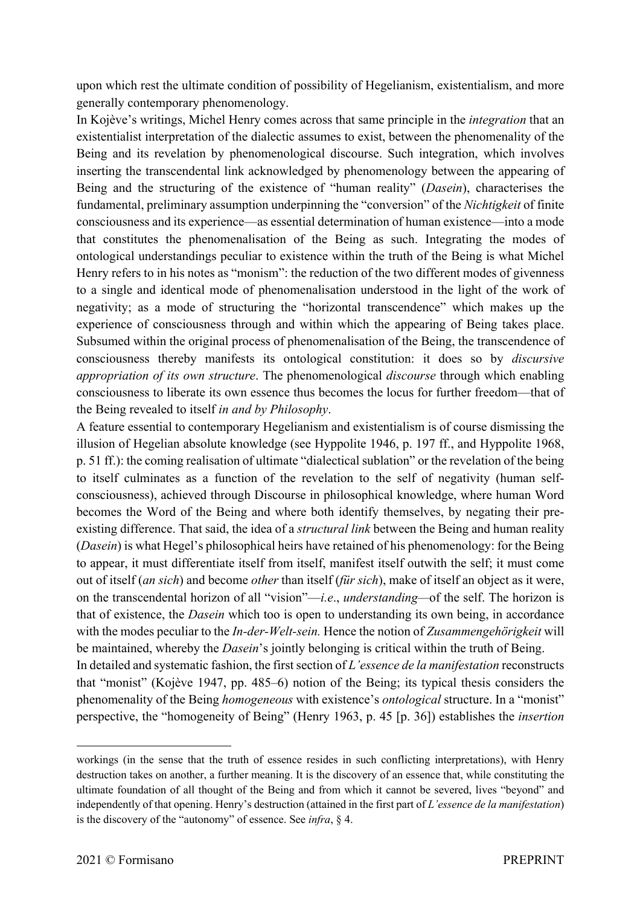upon which rest the ultimate condition of possibility of Hegelianism, existentialism, and more generally contemporary phenomenology.

In Kojève's writings, Michel Henry comes across that same principle in the *integration* that an existentialist interpretation of the dialectic assumes to exist, between the phenomenality of the Being and its revelation by phenomenological discourse. Such integration, which involves inserting the transcendental link acknowledged by phenomenology between the appearing of Being and the structuring of the existence of "human reality" (*Dasein*), characterises the fundamental, preliminary assumption underpinning the "conversion" of the *Nichtigkeit* of finite consciousness and its experience—as essential determination of human existence—into a mode that constitutes the phenomenalisation of the Being as such. Integrating the modes of ontological understandings peculiar to existence within the truth of the Being is what Michel Henry refers to in his notes as "monism": the reduction of the two different modes of givenness to a single and identical mode of phenomenalisation understood in the light of the work of negativity; as a mode of structuring the "horizontal transcendence" which makes up the experience of consciousness through and within which the appearing of Being takes place. Subsumed within the original process of phenomenalisation of the Being, the transcendence of consciousness thereby manifests its ontological constitution: it does so by *discursive appropriation of its own structure*. The phenomenological *discourse* through which enabling consciousness to liberate its own essence thus becomes the locus for further freedom—that of the Being revealed to itself *in and by Philosophy*.

A feature essential to contemporary Hegelianism and existentialism is of course dismissing the illusion of Hegelian absolute knowledge (see Hyppolite 1946, p. 197 ff., and Hyppolite 1968, p. 51 ff.): the coming realisation of ultimate "dialectical sublation" or the revelation of the being to itself culminates as a function of the revelation to the self of negativity (human selfconsciousness), achieved through Discourse in philosophical knowledge, where human Word becomes the Word of the Being and where both identify themselves, by negating their preexisting difference. That said, the idea of a *structural link* between the Being and human reality (*Dasein*) is what Hegel's philosophical heirs have retained of his phenomenology: for the Being to appear, it must differentiate itself from itself, manifest itself outwith the self; it must come out of itself (*an sich*) and become *other* than itself (*für sich*), make of itself an object as it were, on the transcendental horizon of all "vision"—*i.e*., *understanding—*of the self. The horizon is that of existence, the *Dasein* which too is open to understanding its own being, in accordance with the modes peculiar to the *In-der-Welt-sein.* Hence the notion of *Zusammengehörigkeit* will be maintained, whereby the *Dasein*'s jointly belonging is critical within the truth of Being. In detailed and systematic fashion, the first section of *L'essence de la manifestation* reconstructs

that "monist" (Kojève 1947, pp. 485–6) notion of the Being; its typical thesis considers the phenomenality of the Being *homogeneous* with existence's *ontological* structure. In a "monist" perspective, the "homogeneity of Being" (Henry 1963, p. 45 [p. 36]) establishes the *insertion* 

workings (in the sense that the truth of essence resides in such conflicting interpretations), with Henry destruction takes on another, a further meaning. It is the discovery of an essence that, while constituting the ultimate foundation of all thought of the Being and from which it cannot be severed, lives "beyond" and independently of that opening. Henry's destruction (attained in the first part of *L'essence de la manifestation*) is the discovery of the "autonomy" of essence. See *infra*, § 4.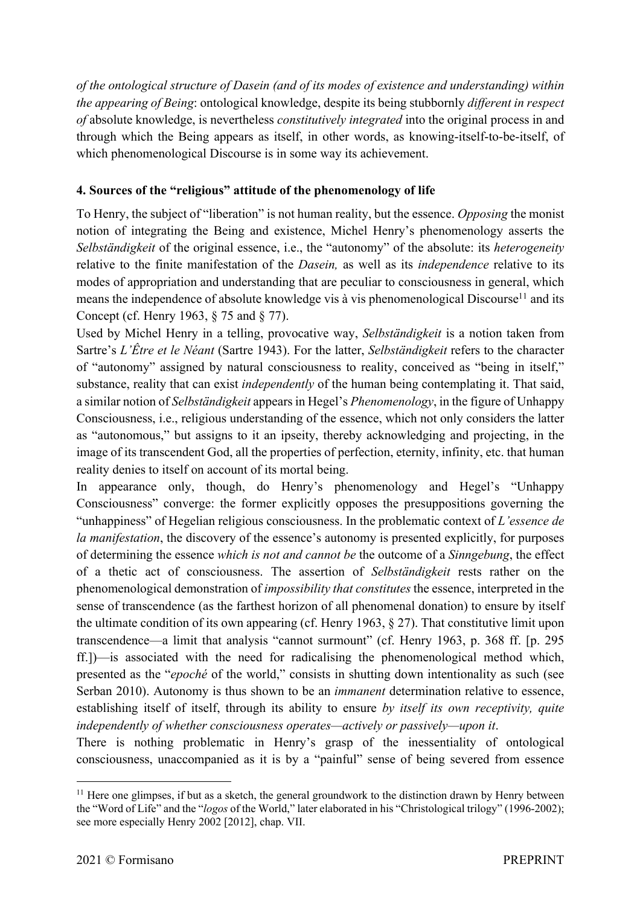*of the ontological structure of Dasein (and of its modes of existence and understanding) within the appearing of Being*: ontological knowledge, despite its being stubbornly *different in respect of* absolute knowledge, is nevertheless *constitutively integrated* into the original process in and through which the Being appears as itself, in other words, as knowing-itself-to-be-itself, of which phenomenological Discourse is in some way its achievement.

## **4. Sources of the "religious" attitude of the phenomenology of life**

To Henry, the subject of "liberation" is not human reality, but the essence. *Opposing* the monist notion of integrating the Being and existence, Michel Henry's phenomenology asserts the *Selbständigkeit* of the original essence, i.e., the "autonomy" of the absolute: its *heterogeneity* relative to the finite manifestation of the *Dasein,* as well as its *independence* relative to its modes of appropriation and understanding that are peculiar to consciousness in general, which means the independence of absolute knowledge vis à vis phenomenological Discourse<sup>11</sup> and its Concept (cf. Henry 1963, § 75 and § 77).

Used by Michel Henry in a telling, provocative way, *Selbständigkeit* is a notion taken from Sartre's *L'Être et le Néant* (Sartre 1943). For the latter, *Selbständigkeit* refers to the character of "autonomy" assigned by natural consciousness to reality, conceived as "being in itself," substance, reality that can exist *independently* of the human being contemplating it. That said, a similar notion of *Selbständigkeit* appears in Hegel's *Phenomenology*, in the figure of Unhappy Consciousness, i.e., religious understanding of the essence, which not only considers the latter as "autonomous," but assigns to it an ipseity, thereby acknowledging and projecting, in the image of its transcendent God, all the properties of perfection, eternity, infinity, etc. that human reality denies to itself on account of its mortal being.

In appearance only, though, do Henry's phenomenology and Hegel's "Unhappy Consciousness" converge: the former explicitly opposes the presuppositions governing the "unhappiness" of Hegelian religious consciousness. In the problematic context of *L'essence de la manifestation*, the discovery of the essence's autonomy is presented explicitly, for purposes of determining the essence *which is not and cannot be* the outcome of a *Sinngebung*, the effect of a thetic act of consciousness. The assertion of *Selbständigkeit* rests rather on the phenomenological demonstration of *impossibility that constitutes* the essence, interpreted in the sense of transcendence (as the farthest horizon of all phenomenal donation) to ensure by itself the ultimate condition of its own appearing (cf. Henry 1963, § 27). That constitutive limit upon transcendence—a limit that analysis "cannot surmount" (cf. Henry 1963, p. 368 ff. [p. 295 ff.])—is associated with the need for radicalising the phenomenological method which, presented as the "*epoché* of the world," consists in shutting down intentionality as such (see Serban 2010). Autonomy is thus shown to be an *immanent* determination relative to essence, establishing itself of itself, through its ability to ensure *by itself its own receptivity, quite independently of whether consciousness operates—actively or passively—upon it*.

There is nothing problematic in Henry's grasp of the inessentiality of ontological consciousness, unaccompanied as it is by a "painful" sense of being severed from essence

 $11$  Here one glimpses, if but as a sketch, the general groundwork to the distinction drawn by Henry between the "Word of Life" and the "*logos* of the World," later elaborated in his "Christological trilogy" (1996-2002); see more especially Henry 2002 [2012], chap. VII.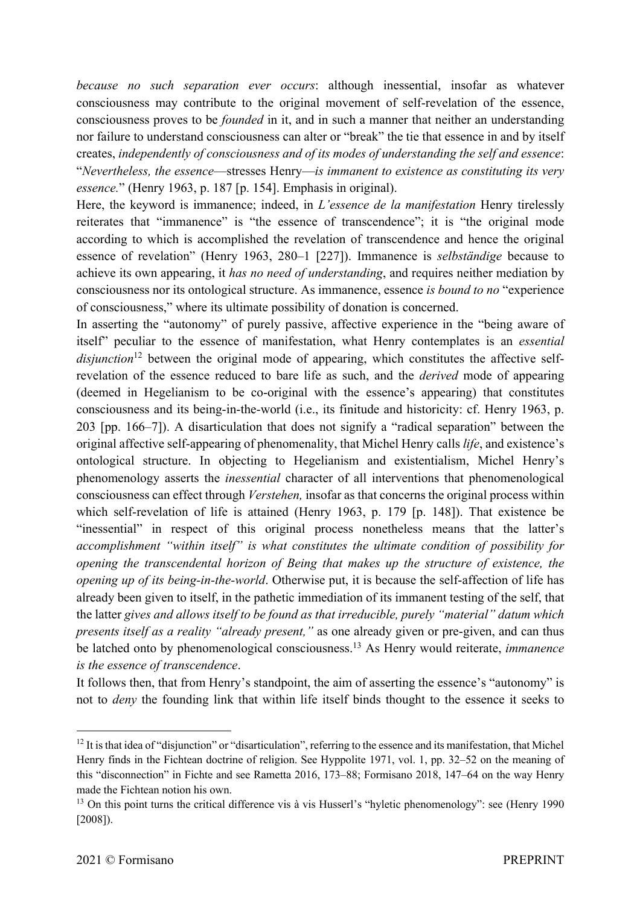*because no such separation ever occurs*: although inessential, insofar as whatever consciousness may contribute to the original movement of self-revelation of the essence, consciousness proves to be *founded* in it, and in such a manner that neither an understanding nor failure to understand consciousness can alter or "break" the tie that essence in and by itself creates, *independently of consciousness and of its modes of understanding the self and essence*: "*Nevertheless, the essence*—stresses Henry—*is immanent to existence as constituting its very essence.*" (Henry 1963, p. 187 [p. 154]. Emphasis in original).

Here, the keyword is immanence; indeed, in *L'essence de la manifestation* Henry tirelessly reiterates that "immanence" is "the essence of transcendence"; it is "the original mode according to which is accomplished the revelation of transcendence and hence the original essence of revelation" (Henry 1963, 280–1 [227]). Immanence is *selbständige* because to achieve its own appearing, it *has no need of understanding*, and requires neither mediation by consciousness nor its ontological structure. As immanence, essence *is bound to no* "experience of consciousness," where its ultimate possibility of donation is concerned.

In asserting the "autonomy" of purely passive, affective experience in the "being aware of itself" peculiar to the essence of manifestation, what Henry contemplates is an *essential*  disjunction<sup>12</sup> between the original mode of appearing, which constitutes the affective selfrevelation of the essence reduced to bare life as such, and the *derived* mode of appearing (deemed in Hegelianism to be co-original with the essence's appearing) that constitutes consciousness and its being-in-the-world (i.e., its finitude and historicity: cf. Henry 1963, p. 203 [pp. 166–7]). A disarticulation that does not signify a "radical separation" between the original affective self-appearing of phenomenality, that Michel Henry calls *life*, and existence's ontological structure. In objecting to Hegelianism and existentialism, Michel Henry's phenomenology asserts the *inessential* character of all interventions that phenomenological consciousness can effect through *Verstehen,* insofar as that concerns the original process within which self-revelation of life is attained (Henry 1963, p. 179 [p. 148]). That existence be "inessential" in respect of this original process nonetheless means that the latter's *accomplishment "within itself" is what constitutes the ultimate condition of possibility for opening the transcendental horizon of Being that makes up the structure of existence, the opening up of its being-in-the-world*. Otherwise put, it is because the self-affection of life has already been given to itself, in the pathetic immediation of its immanent testing of the self, that the latter *gives and allows itself to be found as that irreducible, purely "material" datum which presents itself as a reality "already present,"* as one already given or pre-given, and can thus be latched onto by phenomenological consciousness.13 As Henry would reiterate, *immanence is the essence of transcendence*.

It follows then, that from Henry's standpoint, the aim of asserting the essence's "autonomy" is not to *deny* the founding link that within life itself binds thought to the essence it seeks to

 $12$  It is that idea of "disjunction" or "disarticulation", referring to the essence and its manifestation, that Michel Henry finds in the Fichtean doctrine of religion. See Hyppolite 1971, vol. 1, pp. 32–52 on the meaning of this "disconnection" in Fichte and see Rametta 2016, 173–88; Formisano 2018, 147–64 on the way Henry made the Fichtean notion his own.

<sup>&</sup>lt;sup>13</sup> On this point turns the critical difference vis à vis Husserl's "hyletic phenomenology": see (Henry 1990) [2008]).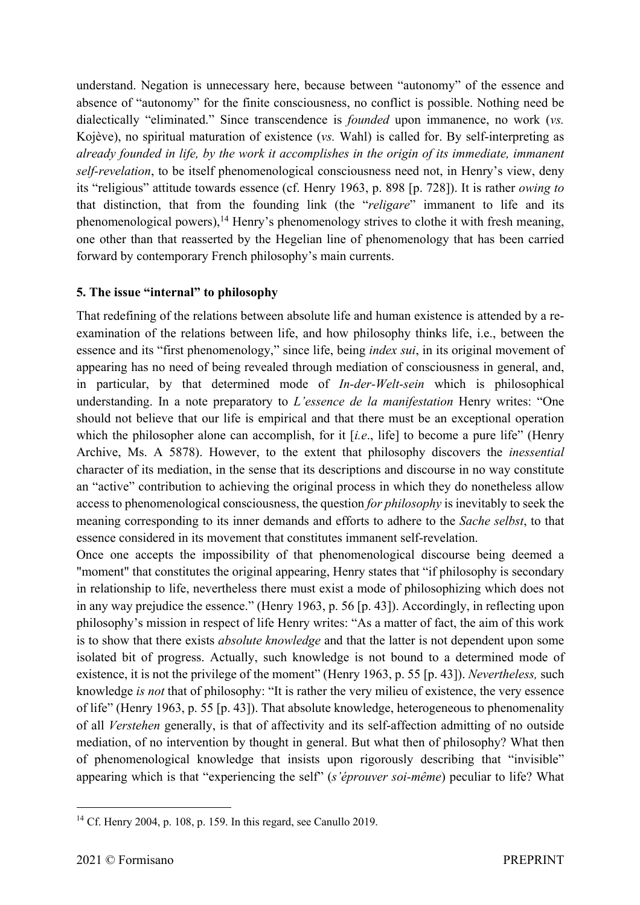understand. Negation is unnecessary here, because between "autonomy" of the essence and absence of "autonomy" for the finite consciousness, no conflict is possible. Nothing need be dialectically "eliminated." Since transcendence is *founded* upon immanence, no work (*vs.* Kojève), no spiritual maturation of existence (*vs.* Wahl) is called for. By self-interpreting as *already founded in life, by the work it accomplishes in the origin of its immediate, immanent self-revelation*, to be itself phenomenological consciousness need not, in Henry's view, deny its "religious" attitude towards essence (cf. Henry 1963, p. 898 [p. 728]). It is rather *owing to*  that distinction, that from the founding link (the "*religare*" immanent to life and its phenomenological powers),<sup>14</sup> Henry's phenomenology strives to clothe it with fresh meaning, one other than that reasserted by the Hegelian line of phenomenology that has been carried forward by contemporary French philosophy's main currents.

### **5. The issue "internal" to philosophy**

That redefining of the relations between absolute life and human existence is attended by a reexamination of the relations between life, and how philosophy thinks life, i.e., between the essence and its "first phenomenology," since life, being *index sui*, in its original movement of appearing has no need of being revealed through mediation of consciousness in general, and, in particular, by that determined mode of *In-der-Welt-sein* which is philosophical understanding. In a note preparatory to *L'essence de la manifestation* Henry writes: "One should not believe that our life is empirical and that there must be an exceptional operation which the philosopher alone can accomplish, for it [*i.e.*, life] to become a pure life" (Henry Archive, Ms. A 5878). However, to the extent that philosophy discovers the *inessential* character of its mediation, in the sense that its descriptions and discourse in no way constitute an "active" contribution to achieving the original process in which they do nonetheless allow access to phenomenological consciousness, the question *for philosophy* is inevitably to seek the meaning corresponding to its inner demands and efforts to adhere to the *Sache selbst*, to that essence considered in its movement that constitutes immanent self-revelation.

Once one accepts the impossibility of that phenomenological discourse being deemed a "moment" that constitutes the original appearing, Henry states that "if philosophy is secondary in relationship to life, nevertheless there must exist a mode of philosophizing which does not in any way prejudice the essence." (Henry 1963, p. 56 [p. 43]). Accordingly, in reflecting upon philosophy's mission in respect of life Henry writes: "As a matter of fact, the aim of this work is to show that there exists *absolute knowledge* and that the latter is not dependent upon some isolated bit of progress. Actually, such knowledge is not bound to a determined mode of existence, it is not the privilege of the moment" (Henry 1963, p. 55 [p. 43]). *Nevertheless,* such knowledge *is not* that of philosophy: "It is rather the very milieu of existence, the very essence of life" (Henry 1963, p. 55 [p. 43]). That absolute knowledge, heterogeneous to phenomenality of all *Verstehen* generally, is that of affectivity and its self-affection admitting of no outside mediation, of no intervention by thought in general. But what then of philosophy? What then of phenomenological knowledge that insists upon rigorously describing that "invisible" appearing which is that "experiencing the self" (*s'éprouver soi-même*) peculiar to life? What

<sup>&</sup>lt;sup>14</sup> Cf. Henry 2004, p. 108, p. 159. In this regard, see Canullo 2019.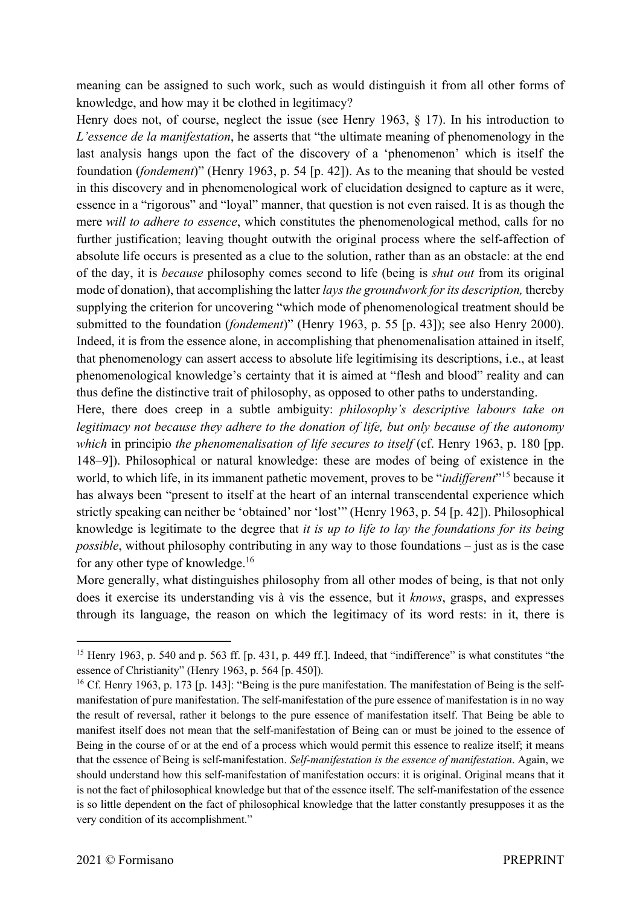meaning can be assigned to such work, such as would distinguish it from all other forms of knowledge, and how may it be clothed in legitimacy?

Henry does not, of course, neglect the issue (see Henry 1963, § 17). In his introduction to *L'essence de la manifestation*, he asserts that "the ultimate meaning of phenomenology in the last analysis hangs upon the fact of the discovery of a 'phenomenon' which is itself the foundation (*fondement*)" (Henry 1963, p. 54 [p. 42]). As to the meaning that should be vested in this discovery and in phenomenological work of elucidation designed to capture as it were, essence in a "rigorous" and "loyal" manner, that question is not even raised. It is as though the mere *will to adhere to essence*, which constitutes the phenomenological method, calls for no further justification; leaving thought outwith the original process where the self-affection of absolute life occurs is presented as a clue to the solution, rather than as an obstacle: at the end of the day, it is *because* philosophy comes second to life (being is *shut out* from its original mode of donation), that accomplishing the latter *lays the groundwork for its description,* thereby supplying the criterion for uncovering "which mode of phenomenological treatment should be submitted to the foundation (*fondement*)" (Henry 1963, p. 55 [p. 43]); see also Henry 2000). Indeed, it is from the essence alone, in accomplishing that phenomenalisation attained in itself, that phenomenology can assert access to absolute life legitimising its descriptions, i.e., at least phenomenological knowledge's certainty that it is aimed at "flesh and blood" reality and can thus define the distinctive trait of philosophy, as opposed to other paths to understanding.

Here, there does creep in a subtle ambiguity: *philosophy's descriptive labours take on legitimacy not because they adhere to the donation of life, but only because of the autonomy which* in principio *the phenomenalisation of life secures to itself* (cf. Henry 1963, p. 180 [pp. 148–9]). Philosophical or natural knowledge: these are modes of being of existence in the world, to which life, in its immanent pathetic movement, proves to be "*indifferent*"15 because it has always been "present to itself at the heart of an internal transcendental experience which strictly speaking can neither be 'obtained' nor 'lost'" (Henry 1963, p. 54 [p. 42]). Philosophical knowledge is legitimate to the degree that *it is up to life to lay the foundations for its being possible*, without philosophy contributing in any way to those foundations – just as is the case for any other type of knowledge.16

More generally, what distinguishes philosophy from all other modes of being, is that not only does it exercise its understanding vis à vis the essence, but it *knows*, grasps, and expresses through its language, the reason on which the legitimacy of its word rests: in it, there is

<sup>&</sup>lt;sup>15</sup> Henry 1963, p. 540 and p. 563 ff. [p. 431, p. 449 ff.]. Indeed, that "indifference" is what constitutes "the essence of Christianity" (Henry 1963, p. 564 [p. 450]).

<sup>&</sup>lt;sup>16</sup> Cf. Henry 1963, p. 173 [p. 143]: "Being is the pure manifestation. The manifestation of Being is the selfmanifestation of pure manifestation. The self-manifestation of the pure essence of manifestation is in no way the result of reversal, rather it belongs to the pure essence of manifestation itself. That Being be able to manifest itself does not mean that the self-manifestation of Being can or must be joined to the essence of Being in the course of or at the end of a process which would permit this essence to realize itself; it means that the essence of Being is self-manifestation. *Self-manifestation is the essence of manifestation*. Again, we should understand how this self-manifestation of manifestation occurs: it is original. Original means that it is not the fact of philosophical knowledge but that of the essence itself. The self-manifestation of the essence is so little dependent on the fact of philosophical knowledge that the latter constantly presupposes it as the very condition of its accomplishment."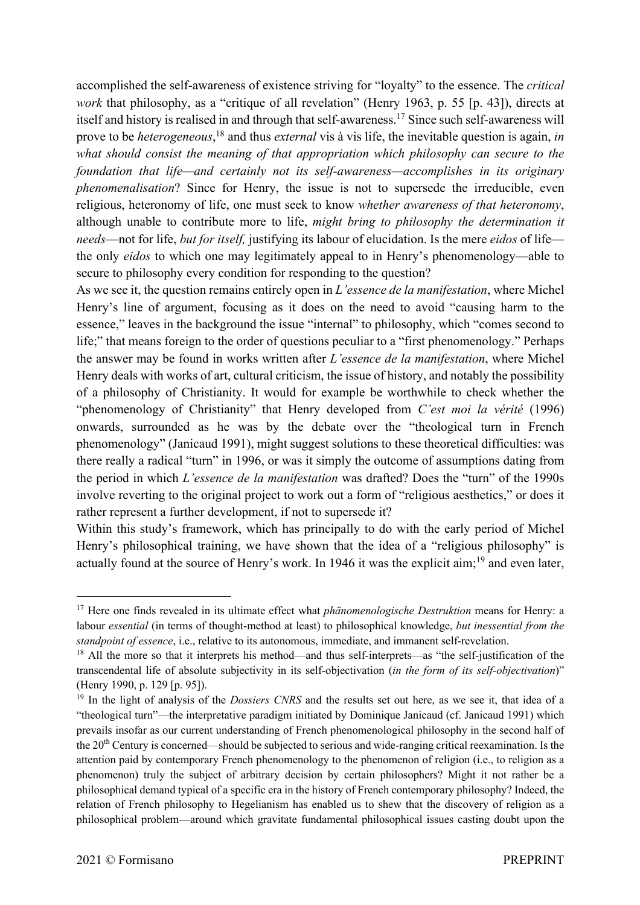accomplished the self-awareness of existence striving for "loyalty" to the essence. The *critical work* that philosophy, as a "critique of all revelation" (Henry 1963, p. 55 [p. 43]), directs at itself and history is realised in and through that self-awareness.17 Since such self-awareness will prove to be *heterogeneous*, <sup>18</sup> and thus *external* vis à vis life, the inevitable question is again, *in what should consist the meaning of that appropriation which philosophy can secure to the foundation that life—and certainly not its self-awareness—accomplishes in its originary phenomenalisation*? Since for Henry, the issue is not to supersede the irreducible, even religious, heteronomy of life, one must seek to know *whether awareness of that heteronomy*, although unable to contribute more to life, *might bring to philosophy the determination it needs*—not for life, *but for itself,* justifying its labour of elucidation. Is the mere *eidos* of life the only *eidos* to which one may legitimately appeal to in Henry's phenomenology—able to secure to philosophy every condition for responding to the question?

As we see it, the question remains entirely open in *L'essence de la manifestation*, where Michel Henry's line of argument, focusing as it does on the need to avoid "causing harm to the essence," leaves in the background the issue "internal" to philosophy, which "comes second to life;" that means foreign to the order of questions peculiar to a "first phenomenology." Perhaps the answer may be found in works written after *L'essence de la manifestation*, where Michel Henry deals with works of art, cultural criticism, the issue of history, and notably the possibility of a philosophy of Christianity. It would for example be worthwhile to check whether the "phenomenology of Christianity" that Henry developed from *C'est moi la vérité* (1996) onwards, surrounded as he was by the debate over the "theological turn in French phenomenology" (Janicaud 1991), might suggest solutions to these theoretical difficulties: was there really a radical "turn" in 1996, or was it simply the outcome of assumptions dating from the period in which *L'essence de la manifestation* was drafted? Does the "turn" of the 1990s involve reverting to the original project to work out a form of "religious aesthetics," or does it rather represent a further development, if not to supersede it?

Within this study's framework, which has principally to do with the early period of Michel Henry's philosophical training, we have shown that the idea of a "religious philosophy" is actually found at the source of Henry's work. In 1946 it was the explicit aim;<sup>19</sup> and even later,

<sup>17</sup> Here one finds revealed in its ultimate effect what *phänomenologische Destruktion* means for Henry: a labour *essential* (in terms of thought-method at least) to philosophical knowledge, *but inessential from the standpoint of essence*, i.e., relative to its autonomous, immediate, and immanent self-revelation.

<sup>&</sup>lt;sup>18</sup> All the more so that it interprets his method—and thus self-interprets—as "the self-justification of the transcendental life of absolute subjectivity in its self-objectivation (*in the form of its self-objectivation*)" (Henry 1990, p. 129 [p. 95]).

<sup>&</sup>lt;sup>19</sup> In the light of analysis of the *Dossiers CNRS* and the results set out here, as we see it, that idea of a "theological turn"—the interpretative paradigm initiated by Dominique Janicaud (cf. Janicaud 1991) which prevails insofar as our current understanding of French phenomenological philosophy in the second half of the 20th Century is concerned—should be subjected to serious and wide-ranging critical reexamination. Is the attention paid by contemporary French phenomenology to the phenomenon of religion (i.e., to religion as a phenomenon) truly the subject of arbitrary decision by certain philosophers? Might it not rather be a philosophical demand typical of a specific era in the history of French contemporary philosophy? Indeed, the relation of French philosophy to Hegelianism has enabled us to shew that the discovery of religion as a philosophical problem—around which gravitate fundamental philosophical issues casting doubt upon the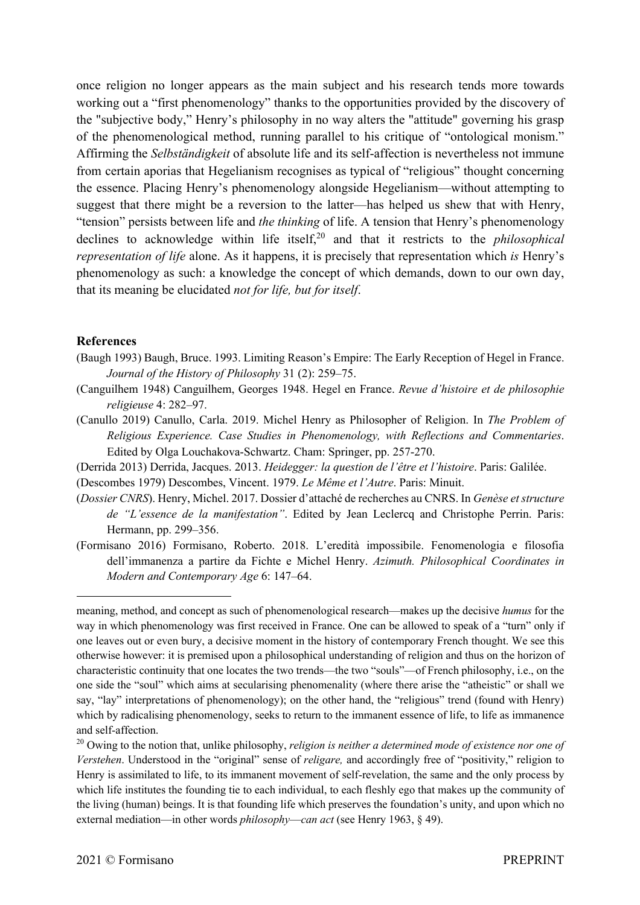once religion no longer appears as the main subject and his research tends more towards working out a "first phenomenology" thanks to the opportunities provided by the discovery of the "subjective body," Henry's philosophy in no way alters the "attitude" governing his grasp of the phenomenological method, running parallel to his critique of "ontological monism." Affirming the *Selbständigkeit* of absolute life and its self-affection is nevertheless not immune from certain aporias that Hegelianism recognises as typical of "religious" thought concerning the essence. Placing Henry's phenomenology alongside Hegelianism—without attempting to suggest that there might be a reversion to the latter—has helped us shew that with Henry, "tension" persists between life and *the thinking* of life. A tension that Henry's phenomenology declines to acknowledge within life itself,<sup>20</sup> and that it restricts to the *philosophical representation of life* alone. As it happens, it is precisely that representation which *is* Henry's phenomenology as such: a knowledge the concept of which demands, down to our own day, that its meaning be elucidated *not for life, but for itself*.

#### **References**

- (Baugh 1993) Baugh, Bruce. 1993. Limiting Reason's Empire: The Early Reception of Hegel in France. *Journal of the History of Philosophy* 31 (2): 259–75.
- (Canguilhem 1948) Canguilhem, Georges 1948. Hegel en France. *Revue d'histoire et de philosophie religieuse* 4: 282–97.
- (Canullo 2019) Canullo, Carla. 2019. Michel Henry as Philosopher of Religion. In *The Problem of Religious Experience. Case Studies in Phenomenology, with Reflections and Commentaries*. Edited by Olga Louchakova-Schwartz. Cham: Springer, pp. 257-270.
- (Derrida 2013) Derrida, Jacques. 2013. *Heidegger: la question de l'être et l'histoire*. Paris: Galilée.
- (Descombes 1979) Descombes, Vincent. 1979. *Le Même et l'Autre*. Paris: Minuit.
- (*Dossier CNRS*). Henry, Michel. 2017. Dossier d'attaché de recherches au CNRS. In *Genèse et structure de "L'essence de la manifestation"*. Edited by Jean Leclercq and Christophe Perrin. Paris: Hermann, pp. 299–356.
- (Formisano 2016) Formisano, Roberto. 2018. L'eredità impossibile. Fenomenologia e filosofia dell'immanenza a partire da Fichte e Michel Henry. *Azimuth. Philosophical Coordinates in Modern and Contemporary Age* 6: 147–64.

meaning, method, and concept as such of phenomenological research—makes up the decisive *humus* for the way in which phenomenology was first received in France. One can be allowed to speak of a "turn" only if one leaves out or even bury, a decisive moment in the history of contemporary French thought. We see this otherwise however: it is premised upon a philosophical understanding of religion and thus on the horizon of characteristic continuity that one locates the two trends—the two "souls"—of French philosophy, i.e., on the one side the "soul" which aims at secularising phenomenality (where there arise the "atheistic" or shall we say, "lay" interpretations of phenomenology); on the other hand, the "religious" trend (found with Henry) which by radicalising phenomenology, seeks to return to the immanent essence of life, to life as immanence and self-affection.

<sup>&</sup>lt;sup>20</sup> Owing to the notion that, unlike philosophy, *religion is neither a determined mode of existence nor one of Verstehen*. Understood in the "original" sense of *religare,* and accordingly free of "positivity," religion to Henry is assimilated to life, to its immanent movement of self-revelation, the same and the only process by which life institutes the founding tie to each individual, to each fleshly ego that makes up the community of the living (human) beings. It is that founding life which preserves the foundation's unity, and upon which no external mediation—in other words *philosophy—can act* (see Henry 1963, § 49).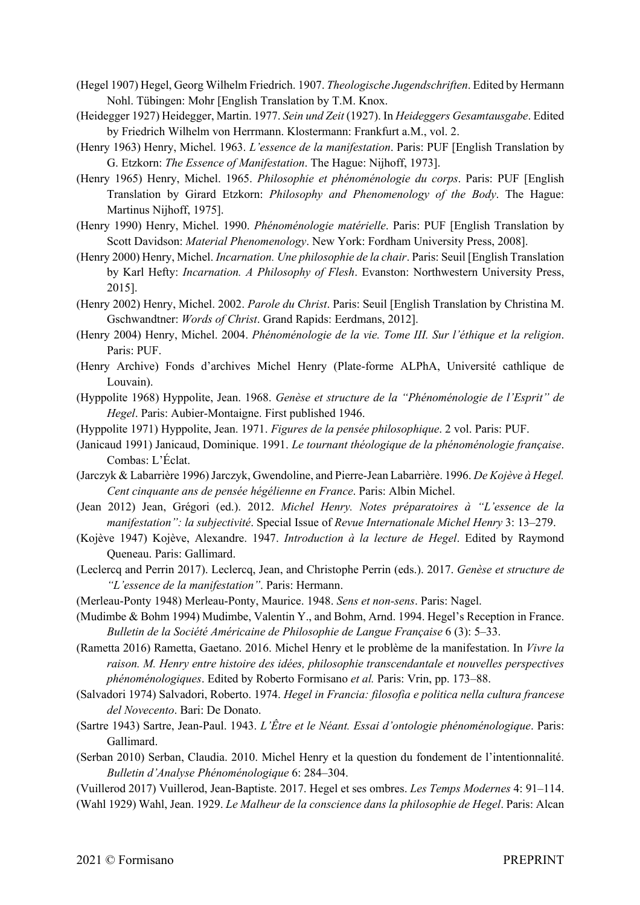- (Hegel 1907) Hegel, Georg Wilhelm Friedrich. 1907. *Theologische Jugendschriften*. Edited by Hermann Nohl. Tübingen: Mohr [English Translation by T.M. Knox.
- (Heidegger 1927) Heidegger, Martin. 1977. *Sein und Zeit* (1927). In *Heideggers Gesamtausgabe*. Edited by Friedrich Wilhelm von Herrmann. Klostermann: Frankfurt a.M., vol. 2.
- (Henry 1963) Henry, Michel. 1963. *L'essence de la manifestation*. Paris: PUF [English Translation by G. Etzkorn: *The Essence of Manifestation*. The Hague: Nijhoff, 1973].
- (Henry 1965) Henry, Michel. 1965. *Philosophie et phénoménologie du corps*. Paris: PUF [English Translation by Girard Etzkorn: *Philosophy and Phenomenology of the Body*. The Hague: Martinus Nijhoff, 1975].
- (Henry 1990) Henry, Michel. 1990. *Phénoménologie matérielle*. Paris: PUF [English Translation by Scott Davidson: *Material Phenomenology*. New York: Fordham University Press, 2008].
- (Henry 2000) Henry, Michel. *Incarnation. Une philosophie de la chair*. Paris: Seuil [English Translation by Karl Hefty: *Incarnation. A Philosophy of Flesh*. Evanston: Northwestern University Press, 2015].
- (Henry 2002) Henry, Michel. 2002. *Parole du Christ*. Paris: Seuil [English Translation by Christina M. Gschwandtner: *Words of Christ*. Grand Rapids: Eerdmans, 2012].
- (Henry 2004) Henry, Michel. 2004. *Phénoménologie de la vie. Tome III. Sur l'éthique et la religion*. Paris: PUF.
- (Henry Archive) Fonds d'archives Michel Henry (Plate-forme ALPhA, Université cathlique de Louvain).
- (Hyppolite 1968) Hyppolite, Jean. 1968. *Genèse et structure de la "Phénoménologie de l'Esprit" de Hegel*. Paris: Aubier-Montaigne. First published 1946.
- (Hyppolite 1971) Hyppolite, Jean. 1971. *Figures de la pensée philosophique*. 2 vol. Paris: PUF.
- (Janicaud 1991) Janicaud, Dominique. 1991. *Le tournant théologique de la phénoménologie française*. Combas: L'Éclat.
- (Jarczyk & Labarrière 1996) Jarczyk, Gwendoline, and Pierre-Jean Labarrière. 1996. *De Kojève à Hegel. Cent cinquante ans de pensée hégélienne en France*. Paris: Albin Michel.
- (Jean 2012) Jean, Grégori (ed.). 2012. *Michel Henry. Notes préparatoires à "L'essence de la manifestation": la subjectivité*. Special Issue of *Revue Internationale Michel Henry* 3: 13–279.
- (Kojève 1947) Kojève, Alexandre. 1947. *Introduction à la lecture de Hegel*. Edited by Raymond Queneau. Paris: Gallimard.
- (Leclercq and Perrin 2017). Leclercq, Jean, and Christophe Perrin (eds.). 2017. *Genèse et structure de "L'essence de la manifestation"*. Paris: Hermann.
- (Merleau-Ponty 1948) Merleau-Ponty, Maurice. 1948. *Sens et non-sens*. Paris: Nagel.
- (Mudimbe & Bohm 1994) Mudimbe, Valentin Y., and Bohm, Arnd. 1994. Hegel's Reception in France. *Bulletin de la Société Américaine de Philosophie de Langue Française* 6 (3): 5–33.
- (Rametta 2016) Rametta, Gaetano. 2016. Michel Henry et le problème de la manifestation. In *Vivre la raison. M. Henry entre histoire des idées, philosophie transcendantale et nouvelles perspectives phénoménologiques*. Edited by Roberto Formisano *et al.* Paris: Vrin, pp. 173–88.
- (Salvadori 1974) Salvadori, Roberto. 1974. *Hegel in Francia: filosofia e politica nella cultura francese del Novecento*. Bari: De Donato.
- (Sartre 1943) Sartre, Jean-Paul. 1943. *L'Être et le Néant. Essai d'ontologie phénoménologique*. Paris: Gallimard.
- (Serban 2010) Serban, Claudia. 2010. Michel Henry et la question du fondement de l'intentionnalité. *Bulletin d'Analyse Phénoménologique* 6: 284–304.
- (Vuillerod 2017) Vuillerod, Jean-Baptiste. 2017. Hegel et ses ombres. *Les Temps Modernes* 4: 91–114.
- (Wahl 1929) Wahl, Jean. 1929. *Le Malheur de la conscience dans la philosophie de Hegel*. Paris: Alcan